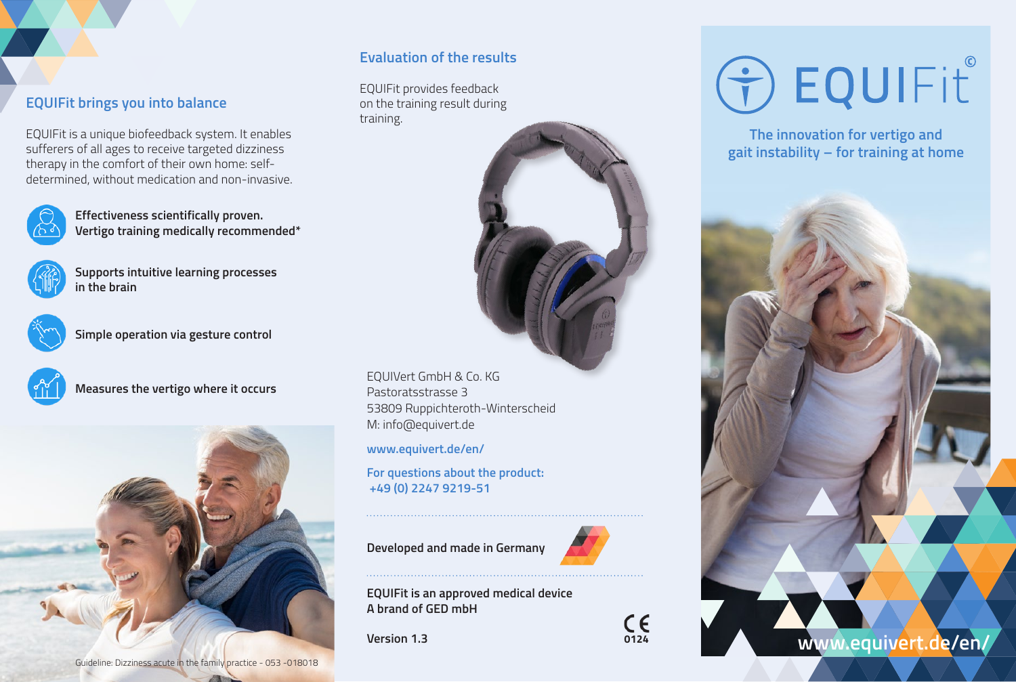## **EQUIFit brings you into balance**

EQUIFit is a unique biofeedback system. It enables sufferers of all ages to receive targeted dizziness therapy in the comfort of their own home: selfdetermined, without medication and non-invasive.



**Effectiveness scientifically proven. Vertigo training medically recommended\***



**Supports intuitive learning processes in the brain**



**Simple operation via gesture control**



**Measures the vertigo where it occurs**



### **Evaluation of the results**

EQUIFit provides feedback on the training result during training.



EQUIVert GmbH & Co. KG Pastoratsstrasse 3 53809 Ruppichteroth-Winterscheid M: [info@equivert.de](mailto:info@equivert.de)

**[www.equivert.de/en/](http://www.equivert.de/en/)**

**For questions about the product: +49 (0) 2247 9219-51**

**Developed and made in Germany**



**EQUIFit is an approved medical device A brand of GED mbH**

**Version 1.3 0124**



# O EQUIFIT

**The innovation for vertigo and gait instability – for training at home**



Guideline: Dizziness acute in the family practice - 053 -018018